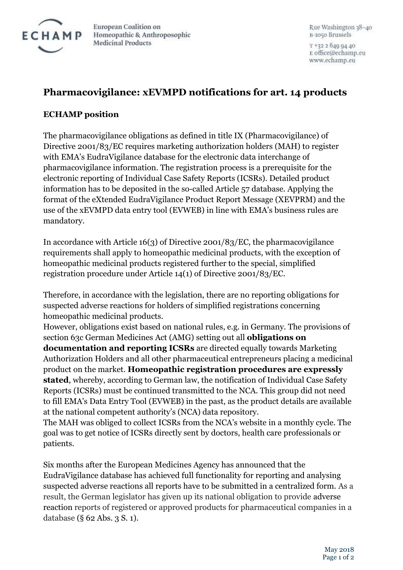

European Coalition on Homeopathic & Anthroposophic **Medicinal Products** 

Rue Washington 38-40 B-1050 Brussels

T +32 2 640 04 40 E office@echamp.eu www.echamp.eu

## **Pharmacovigilance: xEVMPD notifications for art. 14 products**

## **ECHAMP position**

The pharmacovigilance obligations as defined in title IX (Pharmacovigilance) of Directive 2001/83/EC requires marketing authorization holders (MAH) to register with EMA's EudraVigilance database for the electronic data interchange of pharmacovigilance information. The registration process is a prerequisite for the electronic reporting of Individual Case Safety Reports (ICSRs). Detailed product information has to be deposited in the so-called Article 57 database. Applying the format of the eXtended EudraVigilance Product Report Message (XEVPRM) and the use of the xEVMPD data entry tool (EVWEB) in line with EMA's business rules are mandatory.

In accordance with Article 16(3) of Directive 2001/83/EC, the pharmacovigilance requirements shall apply to homeopathic medicinal products, with the exception of homeopathic medicinal products registered further to the special, simplified registration procedure under Article 14(1) of Directive 2001/83/EC.

Therefore, in accordance with the legislation, there are no reporting obligations for suspected adverse reactions for holders of simplified registrations concerning homeopathic medicinal products.

However, obligations exist based on national rules, e.g. in Germany. The provisions of section 63c German Medicines Act (AMG) setting out all **obligations on documentation and reporting ICSRs** are directed equally towards Marketing Authorization Holders and all other pharmaceutical entrepreneurs placing a medicinal product on the market. **Homeopathic registration procedures are expressly stated**, whereby, according to German law, the notification of Individual Case Safety Reports (ICSRs) must be continued transmitted to the NCA. This group did not need to fill EMA's Data Entry Tool (EVWEB) in the past, as the product details are available at the national competent authority's (NCA) data repository.

The MAH was obliged to collect ICSRs from the NCA's website in a monthly cycle. The goal was to get notice of ICSRs directly sent by doctors, health care professionals or patients.

Six months after the European Medicines Agency has announced that the EudraVigilance database has achieved full functionality for reporting and analysing suspected adverse reactions all reports have to be submitted in a centralized form. As a result, the German legislator has given up its national obligation to provide adverse reaction reports of registered or approved products for pharmaceutical companies in a database (§ 62 Abs. 3 S. 1).